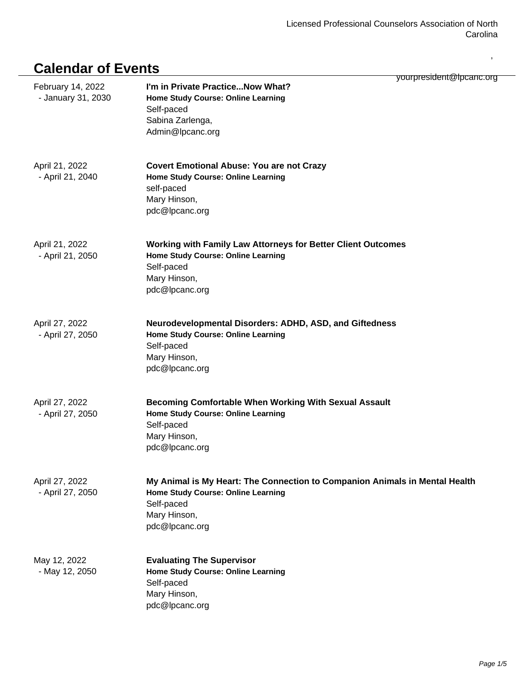,

## **Calendar of Events**

| February 14, 2022<br>- January 31, 2030 | yourpresident@lpcanc.org<br>I'm in Private Practice Now What?<br>Home Study Course: Online Learning<br>Self-paced<br>Sabina Zarlenga,<br>Admin@lpcanc.org                |
|-----------------------------------------|--------------------------------------------------------------------------------------------------------------------------------------------------------------------------|
| April 21, 2022<br>- April 21, 2040      | <b>Covert Emotional Abuse: You are not Crazy</b><br>Home Study Course: Online Learning<br>self-paced<br>Mary Hinson,<br>pdc@lpcanc.org                                   |
| April 21, 2022<br>- April 21, 2050      | Working with Family Law Attorneys for Better Client Outcomes<br>Home Study Course: Online Learning<br>Self-paced<br>Mary Hinson,<br>pdc@lpcanc.org                       |
| April 27, 2022<br>- April 27, 2050      | Neurodevelopmental Disorders: ADHD, ASD, and Giftedness<br>Home Study Course: Online Learning<br>Self-paced<br>Mary Hinson,<br>pdc@lpcanc.org                            |
| April 27, 2022<br>- April 27, 2050      | <b>Becoming Comfortable When Working With Sexual Assault</b><br>Home Study Course: Online Learning<br>Self-paced<br>Mary Hinson,<br>pdc@lpcanc.org                       |
| April 27, 2022<br>- April 27, 2050      | My Animal is My Heart: The Connection to Companion Animals in Mental Health<br><b>Home Study Course: Online Learning</b><br>Self-paced<br>Mary Hinson,<br>pdc@lpcanc.org |
| May 12, 2022<br>- May 12, 2050          | <b>Evaluating The Supervisor</b><br>Home Study Course: Online Learning<br>Self-paced<br>Mary Hinson,<br>pdc@lpcanc.org                                                   |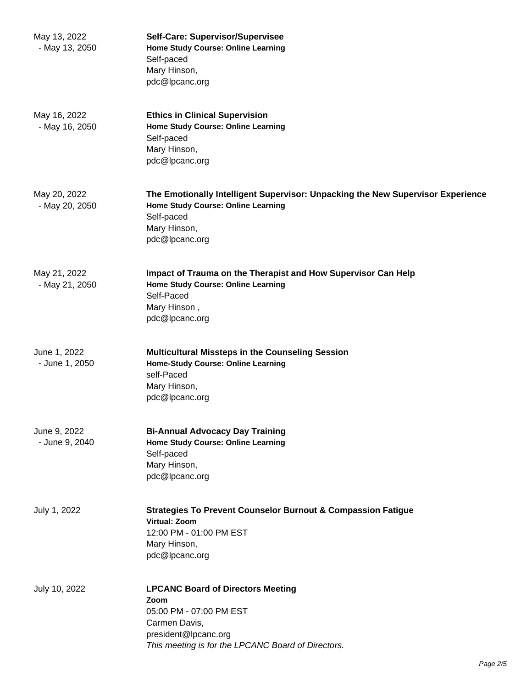| May 13, 2022<br>- May 13, 2050 | Self-Care: Supervisor/Supervisee<br><b>Home Study Course: Online Learning</b><br>Self-paced<br>Mary Hinson,<br>pdc@lpcanc.org                                              |
|--------------------------------|----------------------------------------------------------------------------------------------------------------------------------------------------------------------------|
| May 16, 2022<br>- May 16, 2050 | <b>Ethics in Clinical Supervision</b><br>Home Study Course: Online Learning<br>Self-paced<br>Mary Hinson,<br>pdc@lpcanc.org                                                |
| May 20, 2022<br>- May 20, 2050 | The Emotionally Intelligent Supervisor: Unpacking the New Supervisor Experience<br>Home Study Course: Online Learning<br>Self-paced<br>Mary Hinson,<br>pdc@lpcanc.org      |
| May 21, 2022<br>- May 21, 2050 | Impact of Trauma on the Therapist and How Supervisor Can Help<br>Home Study Course: Online Learning<br>Self-Paced<br>Mary Hinson,<br>pdc@lpcanc.org                        |
| June 1, 2022<br>- June 1, 2050 | <b>Multicultural Missteps in the Counseling Session</b><br>Home-Study Course: Online Learning<br>self-Paced<br>Mary Hinson,<br>pdc@lpcanc.org                              |
| June 9, 2022<br>- June 9, 2040 | <b>Bi-Annual Advocacy Day Training</b><br>Home Study Course: Online Learning<br>Self-paced<br>Mary Hinson,<br>pdc@lpcanc.org                                               |
| July 1, 2022                   | <b>Strategies To Prevent Counselor Burnout &amp; Compassion Fatigue</b><br><b>Virtual: Zoom</b><br>12:00 PM - 01:00 PM EST<br>Mary Hinson,<br>pdc@lpcanc.org               |
| July 10, 2022                  | <b>LPCANC Board of Directors Meeting</b><br>Zoom<br>05:00 PM - 07:00 PM EST<br>Carmen Davis,<br>president@lpcanc.org<br>This meeting is for the LPCANC Board of Directors. |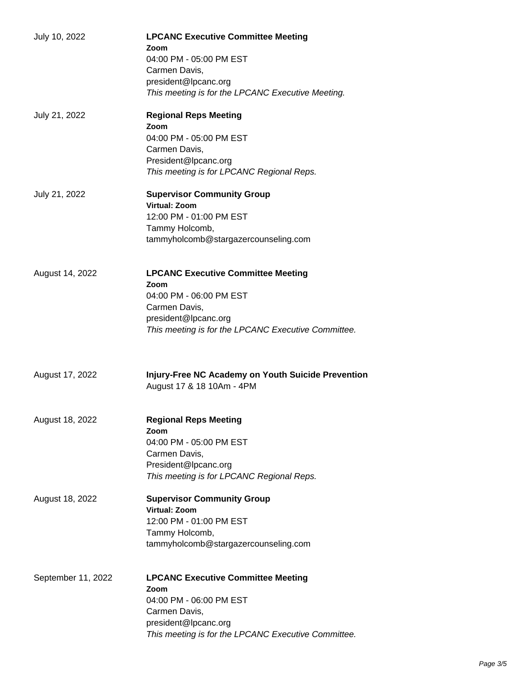| July 10, 2022      | <b>LPCANC Executive Committee Meeting</b><br>Zoom<br>04:00 PM - 05:00 PM EST<br>Carmen Davis,<br>president@lpcanc.org<br>This meeting is for the LPCANC Executive Meeting.   |
|--------------------|------------------------------------------------------------------------------------------------------------------------------------------------------------------------------|
| July 21, 2022      | <b>Regional Reps Meeting</b><br>Zoom<br>04:00 PM - 05:00 PM EST<br>Carmen Davis,<br>President@lpcanc.org<br>This meeting is for LPCANC Regional Reps.                        |
| July 21, 2022      | <b>Supervisor Community Group</b><br>Virtual: Zoom<br>12:00 PM - 01:00 PM EST<br>Tammy Holcomb,<br>tammyholcomb@stargazercounseling.com                                      |
| August 14, 2022    | <b>LPCANC Executive Committee Meeting</b><br>Zoom<br>04:00 PM - 06:00 PM EST<br>Carmen Davis,<br>president@lpcanc.org<br>This meeting is for the LPCANC Executive Committee. |
| August 17, 2022    | Injury-Free NC Academy on Youth Suicide Prevention<br>August 17 & 18 10Am - 4PM                                                                                              |
| August 18, 2022    | <b>Regional Reps Meeting</b><br>Zoom<br>04:00 PM - 05:00 PM EST<br>Carmen Davis,<br>President@lpcanc.org<br>This meeting is for LPCANC Regional Reps.                        |
| August 18, 2022    | <b>Supervisor Community Group</b><br><b>Virtual: Zoom</b><br>12:00 PM - 01:00 PM EST<br>Tammy Holcomb,<br>tammyholcomb@stargazercounseling.com                               |
| September 11, 2022 | <b>LPCANC Executive Committee Meeting</b><br>Zoom<br>04:00 PM - 06:00 PM EST<br>Carmen Davis,<br>president@lpcanc.org<br>This meeting is for the LPCANC Executive Committee. |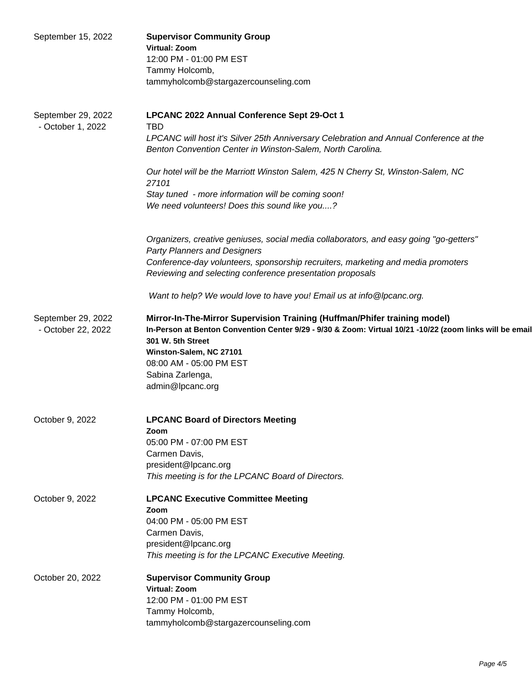| September 15, 2022                       | <b>Supervisor Community Group</b><br>Virtual: Zoom<br>12:00 PM - 01:00 PM EST<br>Tammy Holcomb,<br>tammyholcomb@stargazercounseling.com                                                                                                                                                                  |
|------------------------------------------|----------------------------------------------------------------------------------------------------------------------------------------------------------------------------------------------------------------------------------------------------------------------------------------------------------|
| September 29, 2022<br>- October 1, 2022  | LPCANC 2022 Annual Conference Sept 29-Oct 1<br><b>TBD</b><br>LPCANC will host it's Silver 25th Anniversary Celebration and Annual Conference at the<br>Benton Convention Center in Winston-Salem, North Carolina.                                                                                        |
|                                          | Our hotel will be the Marriott Winston Salem, 425 N Cherry St, Winston-Salem, NC<br>27101                                                                                                                                                                                                                |
|                                          | Stay tuned - more information will be coming soon!<br>We need volunteers! Does this sound like you?                                                                                                                                                                                                      |
|                                          | Organizers, creative geniuses, social media collaborators, and easy going "go-getters"<br><b>Party Planners and Designers</b>                                                                                                                                                                            |
|                                          | Conference-day volunteers, sponsorship recruiters, marketing and media promoters<br>Reviewing and selecting conference presentation proposals                                                                                                                                                            |
|                                          | Want to help? We would love to have you! Email us at info@lpcanc.org.                                                                                                                                                                                                                                    |
| September 29, 2022<br>- October 22, 2022 | Mirror-In-The-Mirror Supervision Training (Huffman/Phifer training model)<br>In-Person at Benton Convention Center 9/29 - 9/30 & Zoom: Virtual 10/21 -10/22 (zoom links will be email<br>301 W. 5th Street<br>Winston-Salem, NC 27101<br>08:00 AM - 05:00 PM EST<br>Sabina Zarlenga,<br>admin@lpcanc.org |
| October 9, 2022                          | <b>LPCANC Board of Directors Meeting</b><br>Zoom<br>05:00 PM - 07:00 PM EST<br>Carmen Davis,<br>president@lpcanc.org<br>This meeting is for the LPCANC Board of Directors.                                                                                                                               |
| October 9, 2022                          | <b>LPCANC Executive Committee Meeting</b><br>Zoom<br>04:00 PM - 05:00 PM EST<br>Carmen Davis,<br>president@lpcanc.org<br>This meeting is for the LPCANC Executive Meeting.                                                                                                                               |
| October 20, 2022                         | <b>Supervisor Community Group</b><br><b>Virtual: Zoom</b><br>12:00 PM - 01:00 PM EST<br>Tammy Holcomb,<br>tammyholcomb@stargazercounseling.com                                                                                                                                                           |